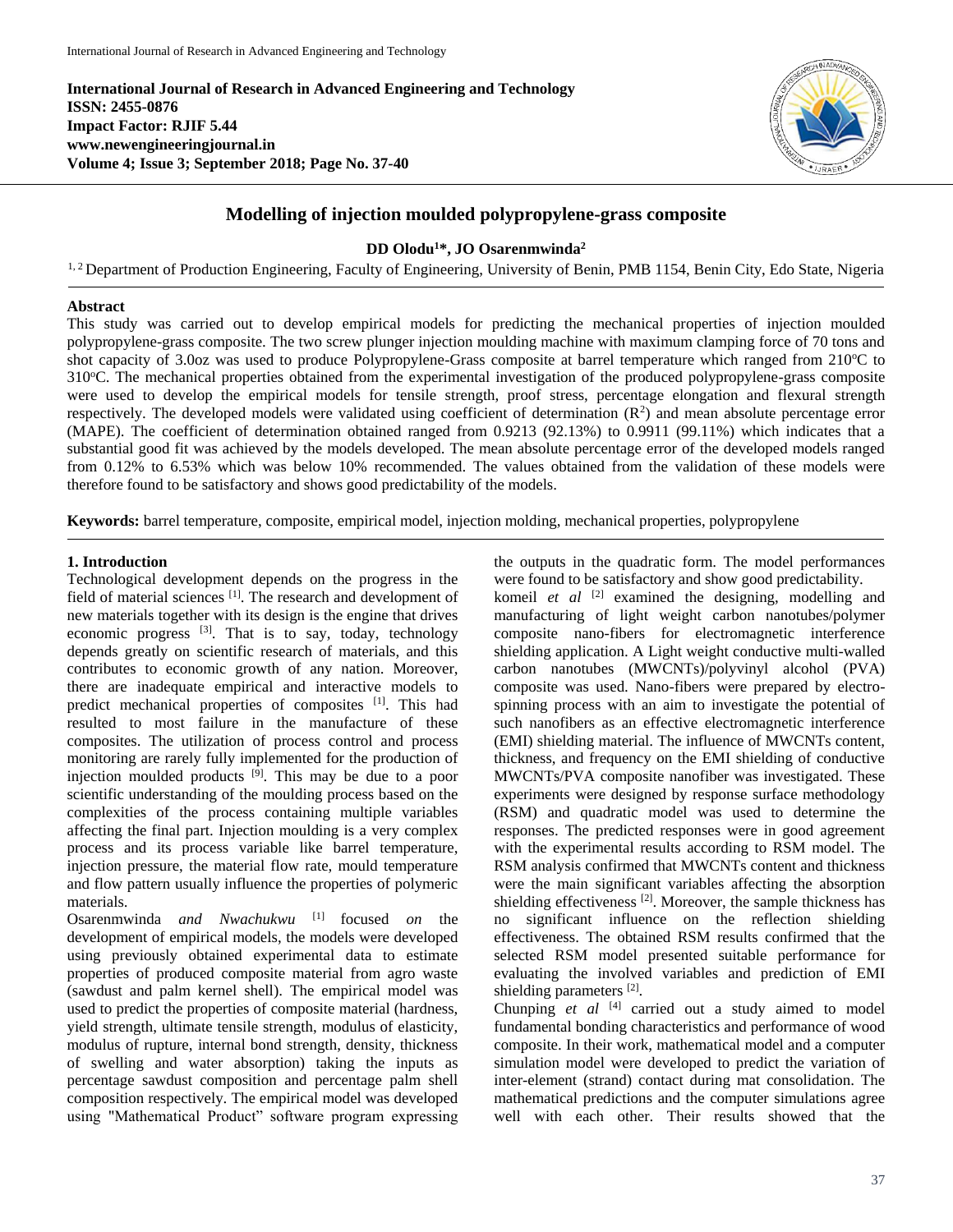**International Journal of Research in Advanced Engineering and Technology ISSN: 2455-0876 Impact Factor: RJIF 5.44 www.newengineeringjournal.in Volume 4; Issue 3; September 2018; Page No. 37-40**



# **Modelling of injection moulded polypropylene-grass composite**

**DD Olodu<sup>1</sup>\*, JO Osarenmwinda<sup>2</sup>**

<sup>1, 2</sup> Department of Production Engineering, Faculty of Engineering, University of Benin, PMB 1154, Benin City, Edo State, Nigeria

### **Abstract**

This study was carried out to develop empirical models for predicting the mechanical properties of injection moulded polypropylene-grass composite. The two screw plunger injection moulding machine with maximum clamping force of 70 tons and shot capacity of 3.0oz was used to produce Polypropylene-Grass composite at barrel temperature which ranged from 210°C to 310<sup>o</sup>C. The mechanical properties obtained from the experimental investigation of the produced polypropylene-grass composite were used to develop the empirical models for tensile strength, proof stress, percentage elongation and flexural strength respectively. The developed models were validated using coefficient of determination  $(R^2)$  and mean absolute percentage error (MAPE). The coefficient of determination obtained ranged from 0.9213 (92.13%) to 0.9911 (99.11%) which indicates that a substantial good fit was achieved by the models developed. The mean absolute percentage error of the developed models ranged from 0.12% to 6.53% which was below 10% recommended. The values obtained from the validation of these models were therefore found to be satisfactory and shows good predictability of the models.

**Keywords:** barrel temperature, composite, empirical model, injection molding, mechanical properties, polypropylene

### **1. Introduction**

Technological development depends on the progress in the field of material sciences [1]. The research and development of new materials together with its design is the engine that drives economic progress  $^{[3]}$ . That is to say, today, technology depends greatly on scientific research of materials, and this contributes to economic growth of any nation. Moreover, there are inadequate empirical and interactive models to predict mechanical properties of composites [1]. This had resulted to most failure in the manufacture of these composites. The utilization of process control and process monitoring are rarely fully implemented for the production of injection moulded products  $[\hat{9}]$ . This may be due to a poor scientific understanding of the moulding process based on the complexities of the process containing multiple variables affecting the final part. Injection moulding is a very complex process and its process variable like barrel temperature, injection pressure, the material flow rate, mould temperature and flow pattern usually influence the properties of polymeric materials.

Osarenmwinda *and Nwachukwu* [1] focused *on* the development of empirical models, the models were developed using previously obtained experimental data to estimate properties of produced composite material from agro waste (sawdust and palm kernel shell). The empirical model was used to predict the properties of composite material (hardness, yield strength, ultimate tensile strength, modulus of elasticity, modulus of rupture, internal bond strength, density, thickness of swelling and water absorption) taking the inputs as percentage sawdust composition and percentage palm shell composition respectively. The empirical model was developed using "Mathematical Product" software program expressing the outputs in the quadratic form. The model performances were found to be satisfactory and show good predictability.

komeil *et al* <sup>[2]</sup> examined the designing, modelling and manufacturing of light weight carbon nanotubes/polymer composite nano-fibers for electromagnetic interference shielding application. A Light weight conductive multi-walled carbon nanotubes (MWCNTs)/polyvinyl alcohol (PVA) composite was used. Nano-fibers were prepared by electrospinning process with an aim to investigate the potential of such nanofibers as an effective electromagnetic interference (EMI) shielding material. The influence of MWCNTs content, thickness, and frequency on the EMI shielding of conductive MWCNTs/PVA composite nanofiber was investigated. These experiments were designed by response surface methodology (RSM) and quadratic model was used to determine the responses. The predicted responses were in good agreement with the experimental results according to RSM model. The RSM analysis confirmed that MWCNTs content and thickness were the main significant variables affecting the absorption shielding effectiveness  $[2]$ . Moreover, the sample thickness has no significant influence on the reflection shielding effectiveness. The obtained RSM results confirmed that the selected RSM model presented suitable performance for evaluating the involved variables and prediction of EMI shielding parameters<sup>[2]</sup>.

Chunping *et al* <sup>[4]</sup> carried out a study aimed to model fundamental bonding characteristics and performance of wood composite. In their work, mathematical model and a computer simulation model were developed to predict the variation of inter-element (strand) contact during mat consolidation. The mathematical predictions and the computer simulations agree well with each other. Their results showed that the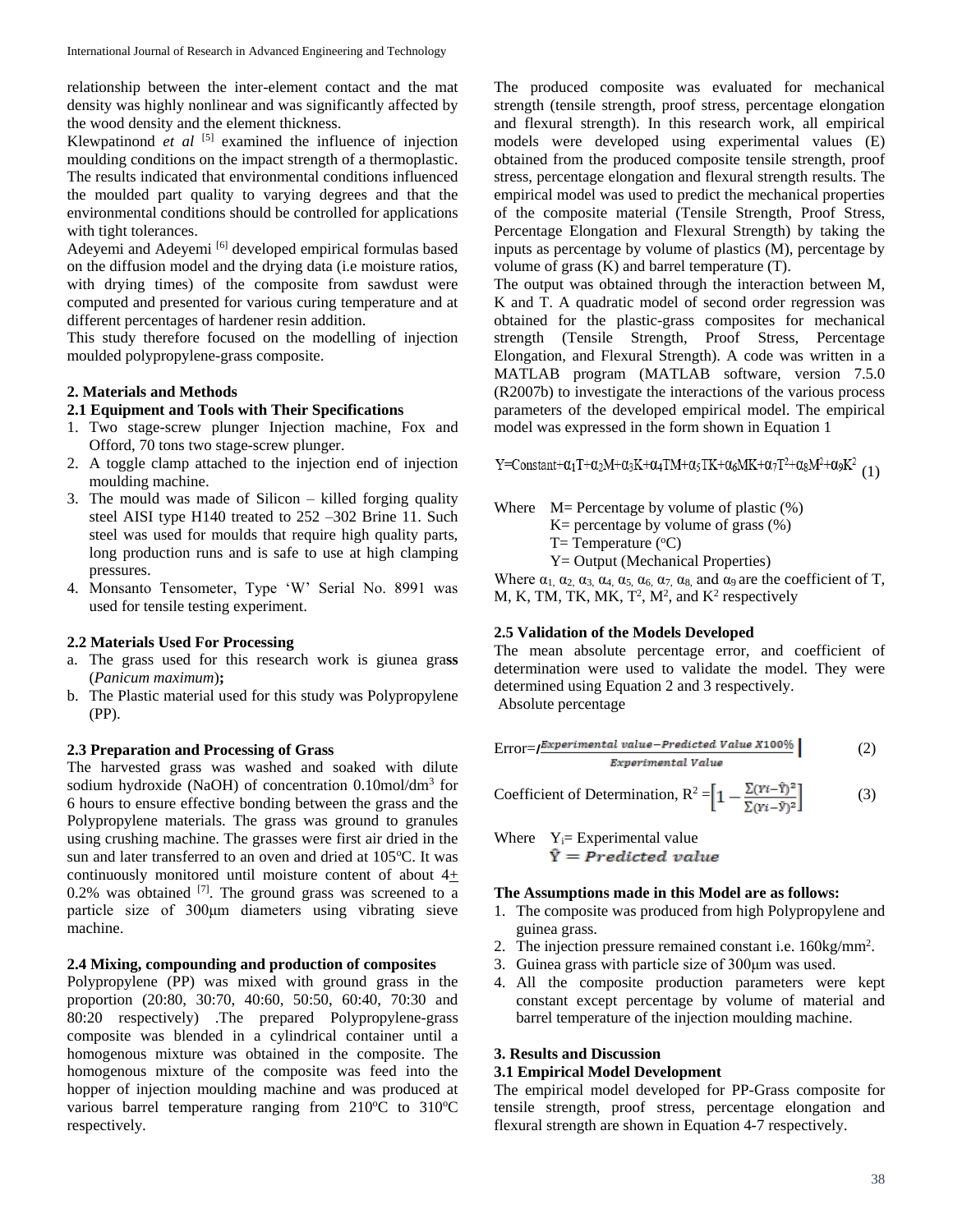relationship between the inter-element contact and the mat density was highly nonlinear and was significantly affected by the wood density and the element thickness.

Klewpatinond *et al* <sup>[5]</sup> examined the influence of injection moulding conditions on the impact strength of a thermoplastic. The results indicated that environmental conditions influenced the moulded part quality to varying degrees and that the environmental conditions should be controlled for applications with tight tolerances.

Adeyemi and Adeyemi <a>[6]</a> developed empirical formulas based on the diffusion model and the drying data (i.e moisture ratios, with drying times) of the composite from sawdust were computed and presented for various curing temperature and at different percentages of hardener resin addition.

This study therefore focused on the modelling of injection moulded polypropylene-grass composite.

# **2. Materials and Methods**

# **2.1 Equipment and Tools with Their Specifications**

- 1. Two stage-screw plunger Injection machine, Fox and Offord, 70 tons two stage-screw plunger.
- 2. A toggle clamp attached to the injection end of injection moulding machine.
- 3. The mould was made of Silicon killed forging quality steel AISI type H140 treated to 252 –302 Brine 11. Such steel was used for moulds that require high quality parts, long production runs and is safe to use at high clamping pressures.
- 4. Monsanto Tensometer, Type 'W' Serial No. 8991 was used for tensile testing experiment.

# **2.2 Materials Used For Processing**

- a. The grass used for this research work is giunea gra**ss** (*Panicum maximum*)**;**
- b. The Plastic material used for this study was Polypropylene (PP).

# **2.3 Preparation and Processing of Grass**

The harvested grass was washed and soaked with dilute sodium hydroxide (NaOH) of concentration 0.10mol/dm<sup>3</sup> for 6 hours to ensure effective bonding between the grass and the Polypropylene materials. The grass was ground to granules using crushing machine. The grasses were first air dried in the sun and later transferred to an oven and dried at 105°C. It was continuously monitored until moisture content of about 4+ 0.2% was obtained  $^{[7]}$ . The ground grass was screened to a particle size of 300μm diameters using vibrating sieve machine.

# **2.4 Mixing, compounding and production of composites**

Polypropylene (PP) was mixed with ground grass in the proportion (20:80, 30:70, 40:60, 50:50, 60:40, 70:30 and 80:20 respectively) .The prepared Polypropylene-grass composite was blended in a cylindrical container until a homogenous mixture was obtained in the composite. The homogenous mixture of the composite was feed into the hopper of injection moulding machine and was produced at various barrel temperature ranging from  $210^{\circ}$ C to  $310^{\circ}$ C respectively.

The produced composite was evaluated for mechanical strength (tensile strength, proof stress, percentage elongation and flexural strength). In this research work, all empirical models were developed using experimental values (E) obtained from the produced composite tensile strength, proof stress, percentage elongation and flexural strength results. The empirical model was used to predict the mechanical properties of the composite material (Tensile Strength, Proof Stress, Percentage Elongation and Flexural Strength) by taking the inputs as percentage by volume of plastics (M), percentage by volume of grass (K) and barrel temperature (T).

The output was obtained through the interaction between M, K and T. A quadratic model of second order regression was obtained for the plastic-grass composites for mechanical strength (Tensile Strength, Proof Stress, Percentage Elongation, and Flexural Strength). A code was written in a MATLAB program (MATLAB software, version 7.5.0 (R2007b) to investigate the interactions of the various process parameters of the developed empirical model. The empirical model was expressed in the form shown in Equation 1

Y=Constant+ $\alpha_1 T + \alpha_2 M + \alpha_3 K + \alpha_4 TM + \alpha_5 TK + \alpha_6 MK + \alpha_7 T^2 + \alpha_8 M^2 + \alpha_9 K^2$  (1)

Where  $M=$  Percentage by volume of plastic  $(\%)$  $K=$  percentage by volume of grass  $(\%)$ 

 $T=$  Temperature ( ${}^{\circ}$ C)

Y= Output (Mechanical Properties)

Where  $\alpha_1$ ,  $\alpha_2$ ,  $\alpha_3$ ,  $\alpha_4$ ,  $\alpha_5$ ,  $\alpha_6$ ,  $\alpha_7$ ,  $\alpha_8$ , and  $\alpha_9$  are the coefficient of T, M, K, TM, TK, MK,  $T^2$ ,  $M^2$ , and  $K^2$  respectively

# **2.5 Validation of the Models Developed**

The mean absolute percentage error, and coefficient of determination were used to validate the model. They were determined using Equation 2 and 3 respectively. Absolute percentage

$$
Error = f^{\text{Experimental value-Predicted Value X100\%}}_{\text{Experimental Value}}
$$
\n(2)

Coefficient of Determination,  $R^2 = \left[1 - \frac{\sum (Y_i - \hat{Y})^2}{\sum (Y_i - \hat{Y})^2}\right]$  (3)

Where  $Y_i =$  Experimental value  $\hat{Y}$  = Predicted value

#### **The Assumptions made in this Model are as follows:**

- 1. The composite was produced from high Polypropylene and guinea grass.
- 2. The injection pressure remained constant i.e. 160kg/mm<sup>2</sup>.
- 3. Guinea grass with particle size of 300μm was used.
- 4. All the composite production parameters were kept constant except percentage by volume of material and barrel temperature of the injection moulding machine.

# **3. Results and Discussion**

# **3.1 Empirical Model Development**

The empirical model developed for PP-Grass composite for tensile strength, proof stress, percentage elongation and flexural strength are shown in Equation 4-7 respectively.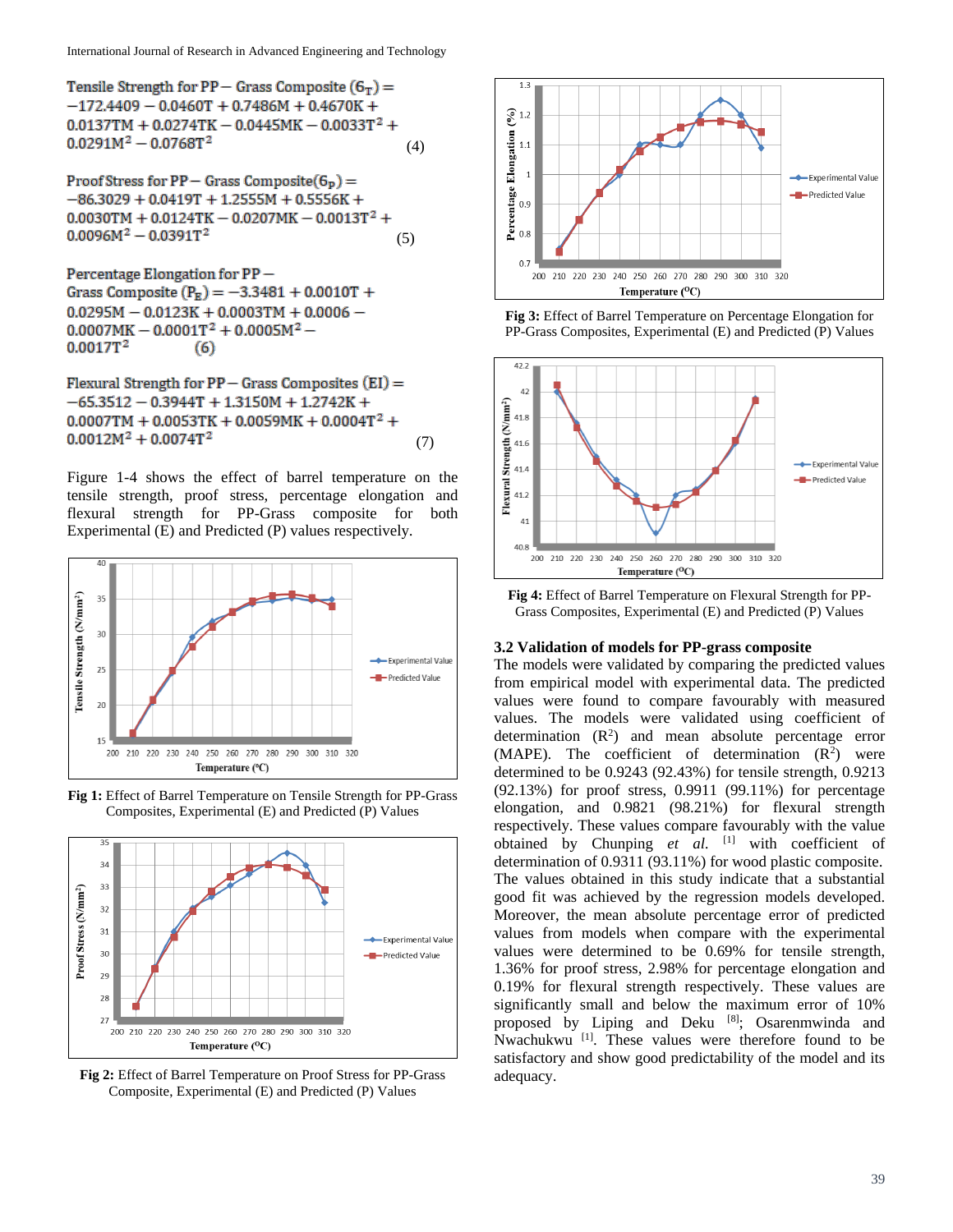Tensile Strength for  $PP -$  Grass Composite  $(6<sub>T</sub>) =$  $-172.4409 - 0.0460T + 0.7486M + 0.4670K +$  $0.0137TM + 0.0274TK - 0.0445MK - 0.0033T^2 +$  $0.0291M^2 - 0.0768T^2$ (4)

Proof Stress for  $PP -$  Grass Composite( $G_p$ ) =  $-86.3029 + 0.0419T + 1.2555M + 0.5556K +$  $0.0030$ TM +  $0.0124$ TK -  $0.0207$ MK -  $0.0013$ T<sup>2</sup> +  $0.0096M^2 - 0.0391T^2$ (5)

Percentage Elongation for PP-Grass Composite  $(P_R) = -3.3481 + 0.0010T +$  $0.0295M - 0.0123K + 0.0003TM + 0.0006 0.0007MK - 0.0001T^2 + 0.0005M^2 0.0017T^2$  $(6)$ 

Flexural Strength for  $PP - Grass$  Composites  $(EI) =$  $-65.3512 - 0.3944T + 1.3150M + 1.2742K +$  $0.0007TM + 0.0053TK + 0.0059MK + 0.0004T^2 +$  $0.0012M^2 + 0.0074T^2$ (7)

Figure 1-4 shows the effect of barrel temperature on the tensile strength, proof stress, percentage elongation and flexural strength for PP-Grass composite for both Experimental (E) and Predicted (P) values respectively.







**Fig 2:** Effect of Barrel Temperature on Proof Stress for PP-Grass Composite, Experimental (E) and Predicted (P) Values



**Fig 3:** Effect of Barrel Temperature on Percentage Elongation for PP-Grass Composites, Experimental (E) and Predicted (P) Values



**Fig 4:** Effect of Barrel Temperature on Flexural Strength for PP-Grass Composites, Experimental (E) and Predicted (P) Values

### **3.2 Validation of models for PP-grass composite**

The models were validated by comparing the predicted values from empirical model with experimental data. The predicted values were found to compare favourably with measured values. The models were validated using coefficient of determination  $(R^2)$  and mean absolute percentage error (MAPE). The coefficient of determination  $(R^2)$  were determined to be 0.9243 (92.43%) for tensile strength, 0.9213 (92.13%) for proof stress, 0.9911 (99.11%) for percentage elongation, and 0.9821 (98.21%) for flexural strength respectively. These values compare favourably with the value obtained by Chunping *et al.* [1] with coefficient of determination of 0.9311 (93.11%) for wood plastic composite. The values obtained in this study indicate that a substantial good fit was achieved by the regression models developed. Moreover, the mean absolute percentage error of predicted values from models when compare with the experimental values were determined to be 0.69% for tensile strength, 1.36% for proof stress, 2.98% for percentage elongation and 0.19% for flexural strength respectively. These values are significantly small and below the maximum error of 10% proposed by Liping and Deku [8]; Osarenmwinda and Nwachukwu [1]. These values were therefore found to be satisfactory and show good predictability of the model and its adequacy.